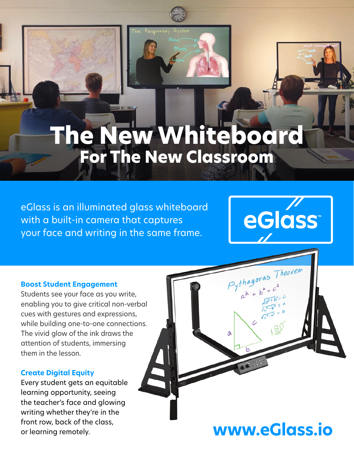

# **The New Whiteboard For The New Classroom**

eGlass is an illuminated glass whiteboard with a built-in camera that captures your face and writing in the same frame.



Theorem

 $Pythagoras$ 

Λ

#### **Boost Student Engagement**

Students see your face as you write, enabling you to give critical non-verbal cues with gestures and expressions, while building one-to-one connections. The vivid glow of the ink draws the attention of students, immersing them in the lesson.

#### **Create Digital Equity**

Every student gets an equitable learning opportunity, seeing the teacher's face and glowing writing whether they're in the front row, back of the class, or learning remotely.

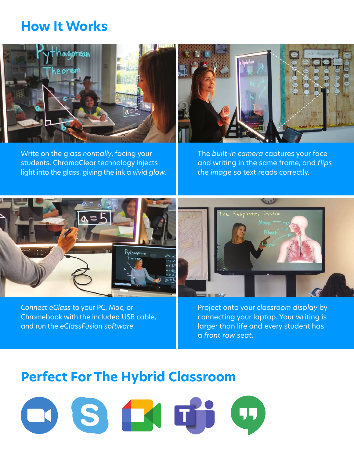### **How It Works**



Write on the glass *normally*, facing your students. ChromaClear technology injects light into the glass, giving the ink a *vivid glow*.



The *built-in camera* captures your face and writing in the same frame, and *flips the image* so text reads correctly.



*Connect eGlass* to your PC, Mac, or Chromebook with the included USB cable, and run the *eGlassFusion software*.

Project onto your *classroom display* by connecting your laptop. Your writing is larger than life and every student has a *front row seat*.

 $\sqrt{11}$ 

### **Perfect For The Hybrid Classroom**

OSKT: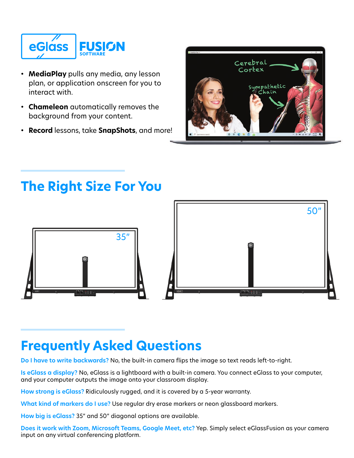

- **MediaPlay** pulls any media, any lesson plan, or application onscreen for you to interact with.
- **Chameleon** automatically removes the background from your content.
- **Record** lessons, take **SnapShots**, and more!



# **The Right Size For You**



### **Frequently Asked Questions**

**Do I have to write backwards?** No, the built-in camera flips the image so text reads left-to-right.

**Is eGlass a display?** No, eGlass is a lightboard with a built-in camera. You connect eGlass to your computer, and your computer outputs the image onto your classroom display.

**How strong is eGlass?** Ridiculously rugged, and it is covered by a 5-year warranty.

**What kind of markers do I use?** Use regular dry erase markers or neon glassboard markers.

**How big is eGlass?** 35" and 50" diagonal options are available.

**Does it work with Zoom, Microsoft Teams, Google Meet, etc?** Yep. Simply select eGlassFusion as your camera input on any virtual conferencing platform.